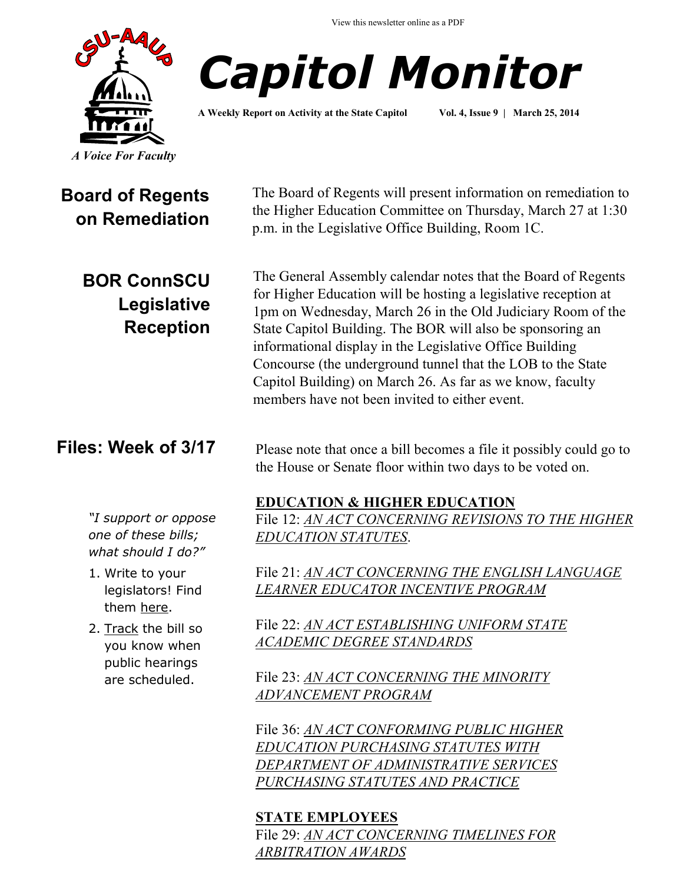View this newsletter online as a PDF





**A Weekly Report on Activity at the State Capitol Vol. 4, Issue 9 | March 25, 2014**

# **Board of Regents on Remediation**

**BOR ConnSCU Legislative Reception**

### **Files: Week of 3/17**

*"I support or oppose one of these bills; what should I do?"*

- 1. Write to your legislators! Find them [here.](http://www.cga.ct.gov/asp/menu/CGAFindLeg.asp)
- 2. [Track](http://www.cga.ct.gov/aspx/CGAPublicBillTrack/Register.aspx) the bill so you know when public hearings are scheduled.

The Board of Regents will present information on remediation to the Higher Education Committee on Thursday, March 27 at 1:30 p.m. in the Legislative Office Building, Room 1C.

The General Assembly calendar notes that the Board of Regents for Higher Education will be hosting a legislative reception at 1pm on Wednesday, March 26 in the Old Judiciary Room of the State Capitol Building. The BOR will also be sponsoring an informational display in the Legislative Office Building Concourse (the underground tunnel that the LOB to the State Capitol Building) on March 26. As far as we know, faculty members have not been invited to either event.

Please note that once a bill becomes a file it possibly could go to the House or Senate floor within two days to be voted on.

#### **EDUCATION & HIGHER EDUCATION**

File 12: *[AN ACT CONCERNING REVISIONS TO THE HIGHER](http://www.cga.ct.gov/asp/cgabillstatus/cgabillstatus.asp?selBillType=File+Copy&bill_num=12&which_year=2014&SUBMIT1.x=0&SUBMIT1.y=0&SUBMIT1=Normal)  [EDUCATION STATUTES](http://www.cga.ct.gov/asp/cgabillstatus/cgabillstatus.asp?selBillType=File+Copy&bill_num=12&which_year=2014&SUBMIT1.x=0&SUBMIT1.y=0&SUBMIT1=Normal)*.

File 21: *[AN ACT CONCERNING THE ENGLISH LANGUAGE](http://www.cga.ct.gov/asp/cgabillstatus/cgabillstatus.asp?selBillType=File+Copy&bill_num=21&which_year=2014&SUBMIT1.x=0&SUBMIT1.y=0&SUBMIT1=Normal)  [LEARNER EDUCATOR INCENTIVE PROGRAM](http://www.cga.ct.gov/asp/cgabillstatus/cgabillstatus.asp?selBillType=File+Copy&bill_num=21&which_year=2014&SUBMIT1.x=0&SUBMIT1.y=0&SUBMIT1=Normal)*

File 22: *[AN ACT ESTABLISHING UNIFORM STATE](http://www.cga.ct.gov/asp/cgabillstatus/cgabillstatus.asp?selBillType=File+Copy&bill_num=22&which_year=2014&SUBMIT1.x=0&SUBMIT1.y=0&SUBMIT1=Normal)  [ACADEMIC DEGREE STANDARDS](http://www.cga.ct.gov/asp/cgabillstatus/cgabillstatus.asp?selBillType=File+Copy&bill_num=22&which_year=2014&SUBMIT1.x=0&SUBMIT1.y=0&SUBMIT1=Normal)*

File 23: *[AN ACT CONCERNING THE MINORITY](http://www.cga.ct.gov/asp/cgabillstatus/cgabillstatus.asp?selBillType=File+Copy&bill_num=23&which_year=2014&SUBMIT1.x=8&SUBMIT1.y=8&SUBMIT1=Normal)  [ADVANCEMENT PROGRAM](http://www.cga.ct.gov/asp/cgabillstatus/cgabillstatus.asp?selBillType=File+Copy&bill_num=23&which_year=2014&SUBMIT1.x=8&SUBMIT1.y=8&SUBMIT1=Normal)*

File 36: *[AN ACT CONFORMING PUBLIC HIGHER](http://www.cga.ct.gov/asp/cgabillstatus/cgabillstatus.asp?selBillType=File+Copy&bill_num=36&which_year=2014&SUBMIT1.x=13&SUBMIT1.y=12&SUBMIT1=Normal)  [EDUCATION PURCHASING STATUTES WITH](http://www.cga.ct.gov/asp/cgabillstatus/cgabillstatus.asp?selBillType=File+Copy&bill_num=36&which_year=2014&SUBMIT1.x=13&SUBMIT1.y=12&SUBMIT1=Normal)  [DEPARTMENT OF ADMINISTRATIVE SERVICES](http://www.cga.ct.gov/asp/cgabillstatus/cgabillstatus.asp?selBillType=File+Copy&bill_num=36&which_year=2014&SUBMIT1.x=13&SUBMIT1.y=12&SUBMIT1=Normal)  [PURCHASING STATUTES AND PRACTICE](http://www.cga.ct.gov/asp/cgabillstatus/cgabillstatus.asp?selBillType=File+Copy&bill_num=36&which_year=2014&SUBMIT1.x=13&SUBMIT1.y=12&SUBMIT1=Normal)*

#### **STATE EMPLOYEES**

File 29: *[AN ACT CONCERNING TIMELINES FOR](http://www.cga.ct.gov/asp/cgabillstatus/cgabillstatus.asp?selBillType=File+Copy&bill_num=29&which_year=2014&SUBMIT1.x=9&SUBMIT1.y=11&SUBMIT1=Normal)  [ARBITRATION AWARDS](http://www.cga.ct.gov/asp/cgabillstatus/cgabillstatus.asp?selBillType=File+Copy&bill_num=29&which_year=2014&SUBMIT1.x=9&SUBMIT1.y=11&SUBMIT1=Normal)*